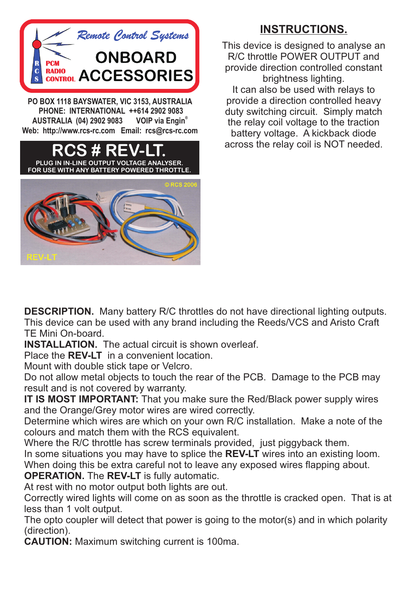

 **PHONE: INTERNATIONAL ++614 2902 9083 VOIP** via Engin<sup>®</sup> **AUSTRALIA (04) 2902 9083 Web: http://www.rcs-rc.com Email: rcs@rcs-rc.com**



## **INSTRUCTIONS.**

This device is designed to analyse an R/C throttle POWER OUTPUT and provide direction controlled constant brightness lighting. It can also be used with relays to provide a direction controlled heavy duty switching circuit. Simply match the relay coil voltage to the traction battery voltage. A kickback diode across the relay coil is NOT needed.

**DESCRIPTION.** Many battery R/C throttles do not have directional lighting outputs. This device can be used with any brand including the Reeds/VCS and Aristo Craft TE Mini On-board.

**INSTALLATION.** The actual circuit is shown overleaf.

Place the **REV-LT** in a convenient location.

Mount with double stick tape or Velcro.

Do not allow metal objects to touch the rear of the PCB. Damage to the PCB may result and is not covered by warranty.

**IT IS MOST IMPORTANT:** That you make sure the Red/Black power supply wires and the Orange/Grey motor wires are wired correctly.

Determine which wires are which on your own R/C installation. Make a note of the colours and match them with the RCS equivalent.

Where the R/C throttle has screw terminals provided, just piggyback them.

In some situations you may have to splice the **REV-LT** wires into an existing loom.

When doing this be extra careful not to leave any exposed wires flapping about.

**OPERATION.** The **REV-LT** is fully automatic.

At rest with no motor output both lights are out.

Correctly wired lights will come on as soon as the throttle is cracked open. That is at less than 1 volt output.

The opto coupler will detect that power is going to the motor(s) and in which polarity (direction).

**CAUTION:** Maximum switching current is 100ma.